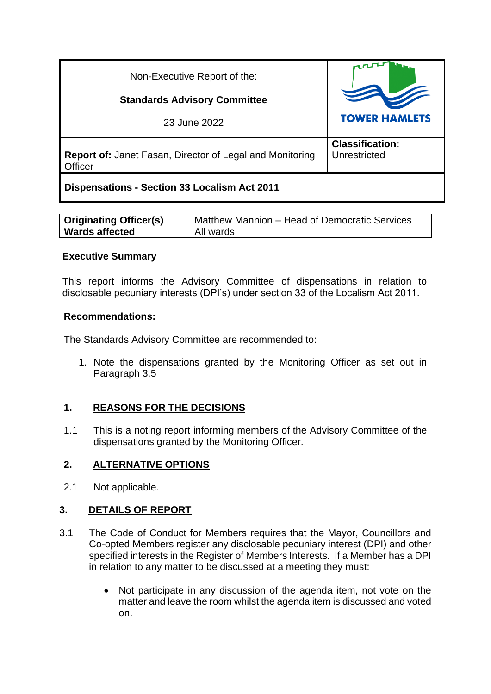| Non-Executive Report of the:                                               |                                        |
|----------------------------------------------------------------------------|----------------------------------------|
| <b>Standards Advisory Committee</b>                                        |                                        |
| 23 June 2022                                                               | <b>TOWER HAMLETS</b>                   |
| <b>Report of: Janet Fasan, Director of Legal and Monitoring</b><br>Officer | <b>Classification:</b><br>Unrestricted |
| <b>Dispensations - Section 33 Localism Act 2011</b>                        |                                        |

| <b>Originating Officer(s)</b> | Matthew Mannion – Head of Democratic Services |
|-------------------------------|-----------------------------------------------|
| <b>Wards affected</b>         | All wards                                     |

#### **Executive Summary**

This report informs the Advisory Committee of dispensations in relation to disclosable pecuniary interests (DPI's) under section 33 of the Localism Act 2011.

#### **Recommendations:**

The Standards Advisory Committee are recommended to:

1. Note the dispensations granted by the Monitoring Officer as set out in Paragraph 3.5

# **1. REASONS FOR THE DECISIONS**

1.1 This is a noting report informing members of the Advisory Committee of the dispensations granted by the Monitoring Officer.

## **2. ALTERNATIVE OPTIONS**

2.1 Not applicable.

## **3. DETAILS OF REPORT**

- 3.1 The Code of Conduct for Members requires that the Mayor, Councillors and Co-opted Members register any disclosable pecuniary interest (DPI) and other specified interests in the Register of Members Interests. If a Member has a DPI in relation to any matter to be discussed at a meeting they must:
	- Not participate in any discussion of the agenda item, not vote on the matter and leave the room whilst the agenda item is discussed and voted on.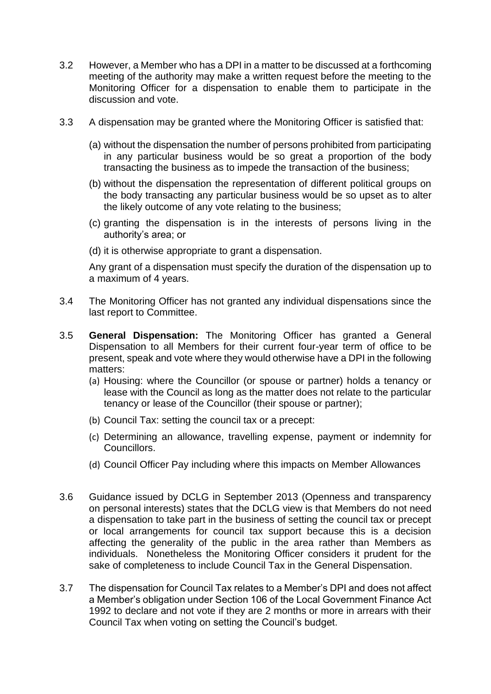- 3.2 However, a Member who has a DPI in a matter to be discussed at a forthcoming meeting of the authority may make a written request before the meeting to the Monitoring Officer for a dispensation to enable them to participate in the discussion and vote.
- 3.3 A dispensation may be granted where the Monitoring Officer is satisfied that:
	- (a) without the dispensation the number of persons prohibited from participating in any particular business would be so great a proportion of the body transacting the business as to impede the transaction of the business;
	- (b) without the dispensation the representation of different political groups on the body transacting any particular business would be so upset as to alter the likely outcome of any vote relating to the business;
	- (c) granting the dispensation is in the interests of persons living in the authority's area; or
	- (d) it is otherwise appropriate to grant a dispensation.

Any grant of a dispensation must specify the duration of the dispensation up to a maximum of 4 years.

- 3.4 The Monitoring Officer has not granted any individual dispensations since the last report to Committee.
- 3.5 **General Dispensation:** The Monitoring Officer has granted a General Dispensation to all Members for their current four-year term of office to be present, speak and vote where they would otherwise have a DPI in the following matters:
	- (a) Housing: where the Councillor (or spouse or partner) holds a tenancy or lease with the Council as long as the matter does not relate to the particular tenancy or lease of the Councillor (their spouse or partner);
	- (b) Council Tax: setting the council tax or a precept:
	- (c) Determining an allowance, travelling expense, payment or indemnity for Councillors.
	- (d) Council Officer Pay including where this impacts on Member Allowances
- 3.6 Guidance issued by DCLG in September 2013 (Openness and transparency on personal interests) states that the DCLG view is that Members do not need a dispensation to take part in the business of setting the council tax or precept or local arrangements for council tax support because this is a decision affecting the generality of the public in the area rather than Members as individuals. Nonetheless the Monitoring Officer considers it prudent for the sake of completeness to include Council Tax in the General Dispensation.
- 3.7 The dispensation for Council Tax relates to a Member's DPI and does not affect a Member's obligation under Section 106 of the Local Government Finance Act 1992 to declare and not vote if they are 2 months or more in arrears with their Council Tax when voting on setting the Council's budget.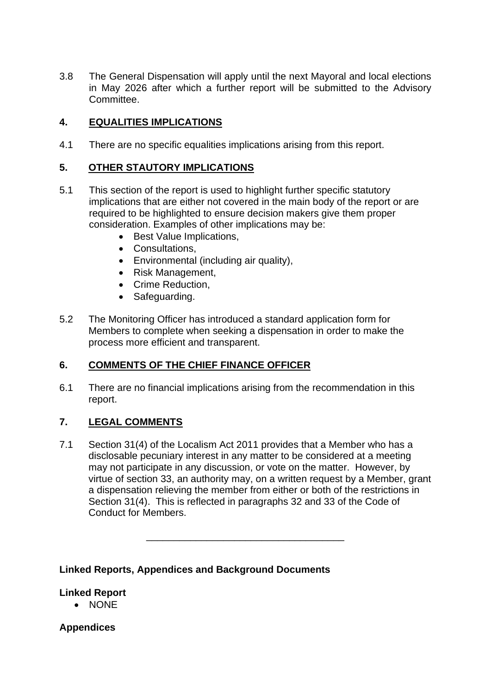3.8 The General Dispensation will apply until the next Mayoral and local elections in May 2026 after which a further report will be submitted to the Advisory **Committee.** 

# **4. EQUALITIES IMPLICATIONS**

4.1 There are no specific equalities implications arising from this report.

## **5. OTHER STAUTORY IMPLICATIONS**

- 5.1 This section of the report is used to highlight further specific statutory implications that are either not covered in the main body of the report or are required to be highlighted to ensure decision makers give them proper consideration. Examples of other implications may be:
	- Best Value Implications,
	- Consultations,
	- Environmental (including air quality),
	- Risk Management,
	- Crime Reduction,
	- Safeguarding.
- 5.2 The Monitoring Officer has introduced a standard application form for Members to complete when seeking a dispensation in order to make the process more efficient and transparent.

## **6. COMMENTS OF THE CHIEF FINANCE OFFICER**

6.1 There are no financial implications arising from the recommendation in this report.

## **7. LEGAL COMMENTS**

7.1 Section 31(4) of the Localism Act 2011 provides that a Member who has a disclosable pecuniary interest in any matter to be considered at a meeting may not participate in any discussion, or vote on the matter. However, by virtue of section 33, an authority may, on a written request by a Member, grant a dispensation relieving the member from either or both of the restrictions in Section 31(4). This is reflected in paragraphs 32 and 33 of the Code of Conduct for Members.

\_\_\_\_\_\_\_\_\_\_\_\_\_\_\_\_\_\_\_\_\_\_\_\_\_\_\_\_\_\_\_\_\_\_\_\_

#### **Linked Reports, Appendices and Background Documents**

## **Linked Report**

• NONE

## **Appendices**